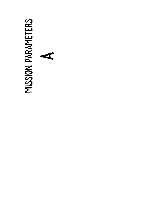# MISSION PARAMETERS Mission Parameters A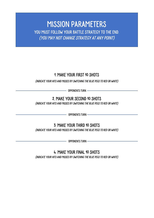### Mission Parameters YOU MUST FOLLOW YOUR BATTLE STRATEGY TO THE END. (you may not change strategy at any point)

#### 1. Make your first 10 shots

(indicate your hits and misses by switching the blue pegs to red or white)

Opponents turn

#### 2. Make your second 10 shots

(indicate your hits and misses by switching the blue pegs to red or white)

**COPPONENTS TURN** 

3. Make your third 10 shots

(indicate your hits and misses by switching the blue pegs to red or white)

 $-$  Opponents turn  $-\!\!\!-\!\!\!-$ 

4. Make your final 10 shots (indicate your hits and misses by switching the blue pegs to red or white)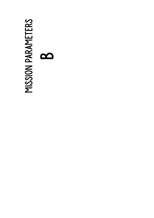# MISSION PARAMETERS Mission Parameters  $\mathbf{\Omega}$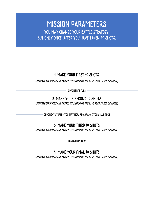### Mission Parameters YOU MAY CHANGE YOUR BATTLE STRATEGY, but only ONCE, after YOU have taken 20 shots.

#### 1. Make your first 10 shots

(indicate your hits and misses by switching the blue pegs to red or white)

Opponents turn

#### 2. Make your second 10 shots

(indicate your hits and misses by switching the blue pegs to red or white)

Opponents turn – You may now re-arrange your blue pegs

#### 3. Make your third 10 shots

(indicate your hits and misses by switching the blue pegs to red or white)

- OPPONENTS TURN -

4. Make your final 10 shots (indicate your hits and misses by switching the blue pegs to red or white)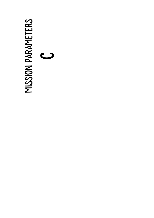# MISSION PARAMETERS Mission Parameters  $\mathbf{\mathcal{C}}$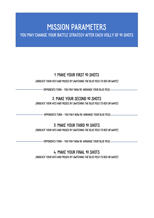### Mission Parameters

YOU MAY CHANGE YOUR BATTLE STRATEGY AFTER EACH VOLLY OF 10 SHOTS

#### 1. Make your first 10 shots

(indicate your hits and misses by switching the blue pegs to red or white)

 $\cdot$  Opponents turn – You MAY NOW RE-ARRANGE YOUR BLUE PEGS

#### 2. Make your second 10 shots

(indicate your hits and misses by switching the blue pegs to red or white)

- OPPONENTS TURN - YOU MAY NOW RE-ARRANGE YOUR BLUE PEGS-

#### 3. Make your third 10 shots

(indicate your hits and misses by switching the blue pegs to red or white)

- OPPONENTS TURN – YOU MAY NOW RE-ARRANGE YOUR BLUE PEGS -

#### 4. Make your final 10 shots

(indicate your hits and misses by switching the blue pegs to red or white)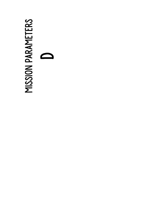# MISSION PARAMETERS Mission Parameters D